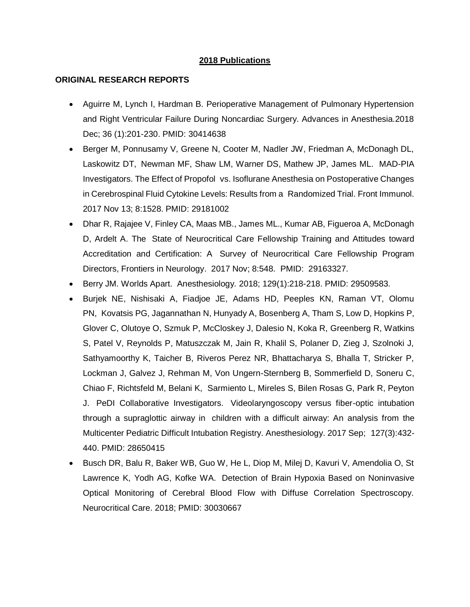## **2018 Publications**

## **ORIGINAL RESEARCH REPORTS**

- Aguirre M, Lynch I, Hardman B. Perioperative Management of Pulmonary Hypertension and Right Ventricular Failure During Noncardiac Surgery. Advances in Anesthesia.2018 Dec; 36 (1):201-230. PMID: 30414638
- Berger M, Ponnusamy V, Greene N, Cooter M, Nadler JW, Friedman A, McDonagh DL, Laskowitz DT, Newman MF, Shaw LM, Warner DS, Mathew JP, James ML. MAD-PIA Investigators. The Effect of Propofol vs. Isoflurane Anesthesia on Postoperative Changes in Cerebrospinal Fluid Cytokine Levels: Results from a Randomized Trial. Front Immunol. 2017 Nov 13; 8:1528. PMID: 29181002
- Dhar R, Rajajee V, Finley CA, Maas MB., James ML., Kumar AB, Figueroa A, McDonagh D, Ardelt A. The State of Neurocritical Care Fellowship Training and Attitudes toward Accreditation and Certification: A Survey of Neurocritical Care Fellowship Program Directors, Frontiers in Neurology. 2017 Nov; 8:548. PMID: 29163327.
- Berry JM. Worlds Apart. Anesthesiology*.* 2018; 129(1):218-218. PMID: 29509583.
- Burjek NE, Nishisaki A, Fiadjoe JE, Adams HD, Peeples KN, Raman VT, Olomu PN, Kovatsis PG, Jagannathan N, Hunyady A, Bosenberg A, Tham S, Low D, Hopkins P, Glover C, Olutoye O, Szmuk P, McCloskey J, Dalesio N, Koka R, Greenberg R, Watkins S, Patel V, Reynolds P, Matuszczak M, Jain R, Khalil S, Polaner D, Zieg J, Szolnoki J, Sathyamoorthy K, Taicher B, Riveros Perez NR, Bhattacharya S, Bhalla T, Stricker P, Lockman J, Galvez J, Rehman M, Von Ungern-Sternberg B, Sommerfield D, Soneru C, Chiao F, Richtsfeld M, Belani K, Sarmiento L, Mireles S, Bilen Rosas G, Park R, Peyton J. PeDI Collaborative Investigators. Videolaryngoscopy versus fiber-optic intubation through a supraglottic airway in children with a difficult airway: An analysis from the Multicenter Pediatric Difficult Intubation Registry. Anesthesiology. 2017 Sep; 127(3):432- 440. PMID: 28650415
- Busch DR, Balu R, Baker WB, Guo W, He L, Diop M, Milej D, Kavuri V, Amendolia O, St Lawrence K, Yodh AG, Kofke WA. Detection of Brain Hypoxia Based on Noninvasive Optical Monitoring of Cerebral Blood Flow with Diffuse Correlation Spectroscopy. Neurocritical Care. 2018; PMID: 30030667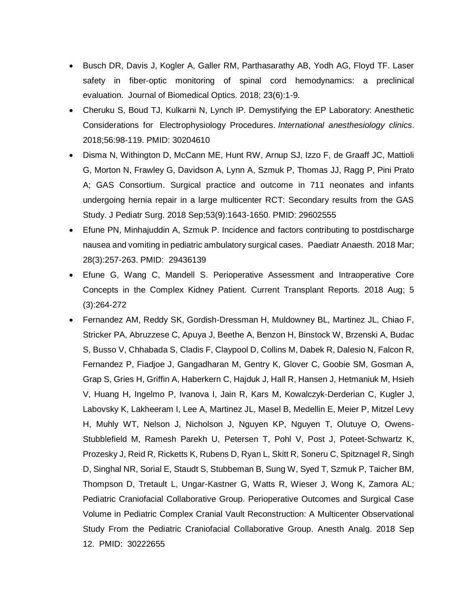- Busch DR, Davis J, Kogler A, Galler RM, Parthasarathy AB, Yodh AG, Floyd TF. Laser safety in fiber-optic monitoring of spinal cord hemodynamics: a preclinical evaluation. Journal of Biomedical Optics. 2018; 23(6):1-9.
- Cheruku S, Boud TJ, Kulkarni N, Lynch IP. Demystifying the EP Laboratory: Anesthetic Considerations for Electrophysiology Procedures. *International anesthesiology clinics*. 2018;56:98-119. PMID: 30204610
- Disma N, Withington D, McCann ME, Hunt RW, Arnup SJ, Izzo F, de Graaff JC, Mattioli G, Morton N, Frawley G, Davidson A, Lynn A, Szmuk P, Thomas JJ, Ragg P, Pini Prato A; GAS Consortium. Surgical practice and outcome in 711 neonates and infants undergoing hernia repair in a large multicenter RCT: Secondary results from the GAS Study. J Pediatr Surg. 2018 Sep;53(9):1643-1650. PMID: 29602555
- Efune PN, Minhajuddin A, Szmuk P. Incidence and factors contributing to postdischarge nausea and vomiting in pediatric ambulatory surgical cases. Paediatr Anaesth. 2018 Mar; 28(3):257-263. PMID: 29436139
- Efune G, Wang C, Mandell S. Perioperative Assessment and Intraoperative Core Concepts in the Complex Kidney Patient. Current Transplant Reports. 2018 Aug; 5 (3):264-272
- Fernandez AM, Reddy SK, Gordish-Dressman H, Muldowney BL, Martinez JL, Chiao F, Stricker PA, Abruzzese C, Apuya J, Beethe A, Benzon H, Binstock W, Brzenski A, Budac S, Busso V, Chhabada S, Cladis F, Claypool D, Collins M, Dabek R, Dalesio N, Falcon R, Fernandez P, Fiadjoe J, Gangadharan M, Gentry K, Glover C, Goobie SM, Gosman A, Grap S, Gries H, Griffin A, Haberkern C, Hajduk J, Hall R, Hansen J, Hetmaniuk M, Hsieh V, Huang H, Ingelmo P, Ivanova I, Jain R, Kars M, Kowalczyk-Derderian C, Kugler J, Labovsky K, Lakheeram I, Lee A, Martinez JL, Masel B, Medellin E, Meier P, Mitzel Levy H, Muhly WT, Nelson J, Nicholson J, Nguyen KP, Nguyen T, Olutuye O, Owens-Stubblefield M, Ramesh Parekh U, Petersen T, Pohl V, Post J, Poteet-Schwartz K, Prozesky J, Reid R, Ricketts K, Rubens D, Ryan L, Skitt R, Soneru C, Spitznagel R, Singh D, Singhal NR, Sorial E, Staudt S, Stubbeman B, Sung W, Syed T, Szmuk P, Taicher BM, Thompson D, Tretault L, Ungar-Kastner G, Watts R, Wieser J, Wong K, Zamora AL; Pediatric Craniofacial Collaborative Group. Perioperative Outcomes and Surgical Case Volume in Pediatric Complex Cranial Vault Reconstruction: A Multicenter Observational Study From the Pediatric Craniofacial Collaborative Group. Anesth Analg. 2018 Sep 12. PMID: 30222655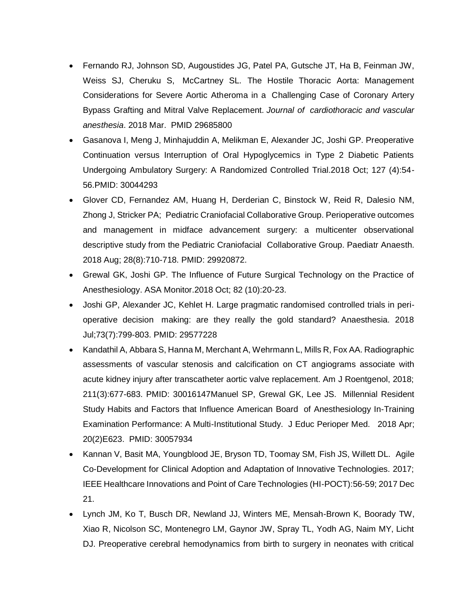- Fernando RJ, Johnson SD, Augoustides JG, Patel PA, Gutsche JT, Ha B, Feinman JW, Weiss SJ, Cheruku S, McCartney SL. The Hostile Thoracic Aorta: Management Considerations for Severe Aortic Atheroma in a Challenging Case of Coronary Artery Bypass Grafting and Mitral Valve Replacement. *Journal of cardiothoracic and vascular anesthesia*. 2018 Mar. PMID 29685800
- Gasanova I, Meng J, Minhajuddin A, Melikman E, Alexander JC, Joshi GP. Preoperative Continuation versus Interruption of Oral Hypoglycemics in Type 2 Diabetic Patients Undergoing Ambulatory Surgery: A Randomized Controlled Trial.2018 Oct; 127 (4):54- 56.PMID: 30044293
- Glover CD, Fernandez AM, Huang H, Derderian C, Binstock W, Reid R, Dalesio NM, Zhong J, Stricker PA; Pediatric Craniofacial Collaborative Group. Perioperative outcomes and management in midface advancement surgery: a multicenter observational descriptive study from the Pediatric Craniofacial Collaborative Group. Paediatr Anaesth. 2018 Aug; 28(8):710-718. PMID: 29920872.
- Grewal GK, Joshi GP. The Influence of Future Surgical Technology on the Practice of Anesthesiology. ASA Monitor.2018 Oct; 82 (10):20-23.
- Joshi GP, Alexander JC, Kehlet H. Large pragmatic randomised controlled trials in perioperative decision making: are they really the gold standard? Anaesthesia. 2018 Jul;73(7):799-803. PMID: 29577228
- Kandathil A, Abbara S, Hanna M, Merchant A, Wehrmann L, Mills R, Fox AA. Radiographic assessments of vascular stenosis and calcification on CT angiograms associate with acute kidney injury after transcatheter aortic valve replacement. Am J Roentgenol, 2018; 211(3):677-683. PMID: 30016147Manuel SP, Grewal GK, Lee JS. Millennial Resident Study Habits and Factors that Influence American Board of Anesthesiology In-Training Examination Performance: A Multi-Institutional Study. J Educ Perioper Med. 2018 Apr; 20(2)E623. PMID: 30057934
- Kannan V, Basit MA, Youngblood JE, Bryson TD, Toomay SM, Fish JS, Willett DL. Agile Co-Development for Clinical Adoption and Adaptation of Innovative Technologies. 2017; IEEE Healthcare Innovations and Point of Care Technologies (HI-POCT):56-59; 2017 Dec 21.
- Lynch JM, Ko T, Busch DR, Newland JJ, Winters ME, Mensah-Brown K, Boorady TW, Xiao R, Nicolson SC, Montenegro LM, Gaynor JW, Spray TL, Yodh AG, Naim MY, Licht DJ. Preoperative cerebral hemodynamics from birth to surgery in neonates with critical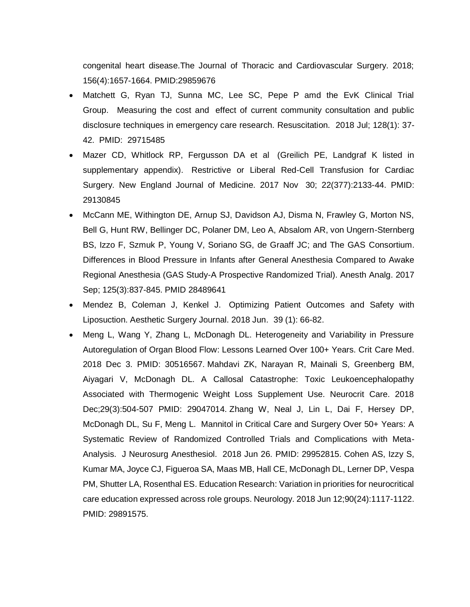congenital heart disease.The Journal of Thoracic and Cardiovascular Surgery. 2018; 156(4):1657-1664. PMID:29859676

- Matchett G, Ryan TJ, Sunna MC, Lee SC, Pepe P amd the EvK Clinical Trial Group. Measuring the cost and effect of current community consultation and public disclosure techniques in emergency care research. Resuscitation. 2018 Jul; 128(1): 37- 42. PMID: 29715485
- Mazer CD, Whitlock RP, Fergusson DA et al (Greilich PE, Landgraf K listed in supplementary appendix). Restrictive or Liberal Red-Cell Transfusion for Cardiac Surgery. New England Journal of Medicine. 2017 Nov 30; 22(377):2133-44. PMID: 29130845
- McCann ME, Withington DE, Arnup SJ, Davidson AJ, Disma N, Frawley G, Morton NS, Bell G, Hunt RW, Bellinger DC, Polaner DM, Leo A, Absalom AR, von Ungern-Sternberg BS, Izzo F, Szmuk P, Young V, Soriano SG, de Graaff JC; and The GAS Consortium. Differences in Blood Pressure in Infants after General Anesthesia Compared to Awake Regional Anesthesia (GAS Study-A Prospective Randomized Trial). Anesth Analg. 2017 Sep; 125(3):837-845. PMID 28489641
- Mendez B, Coleman J, Kenkel J. Optimizing Patient Outcomes and Safety with Liposuction. Aesthetic Surgery Journal. 2018 Jun. 39 (1): 66-82.
- Meng L, Wang Y, Zhang L, McDonagh DL. Heterogeneity and Variability in Pressure Autoregulation of Organ Blood Flow: Lessons Learned Over 100+ Years. Crit Care Med. 2018 Dec 3. PMID: 30516567. Mahdavi ZK, Narayan R, Mainali S, Greenberg BM, Aiyagari V, McDonagh DL. A Callosal Catastrophe: Toxic Leukoencephalopathy Associated with Thermogenic Weight Loss Supplement Use. Neurocrit Care. 2018 Dec;29(3):504-507 PMID: 29047014. Zhang W, Neal J, Lin L, Dai F, Hersey DP, McDonagh DL, Su F, Meng L. Mannitol in Critical Care and Surgery Over 50+ Years: A Systematic Review of Randomized Controlled Trials and Complications with Meta-Analysis. J Neurosurg Anesthesiol. 2018 Jun 26. PMID: 29952815. Cohen AS, Izzy S, Kumar MA, Joyce CJ, Figueroa SA, Maas MB, Hall CE, McDonagh DL, Lerner DP, Vespa PM, Shutter LA, Rosenthal ES. Education Research: Variation in priorities for neurocritical care education expressed across role groups. Neurology. 2018 Jun 12;90(24):1117-1122. PMID: 29891575.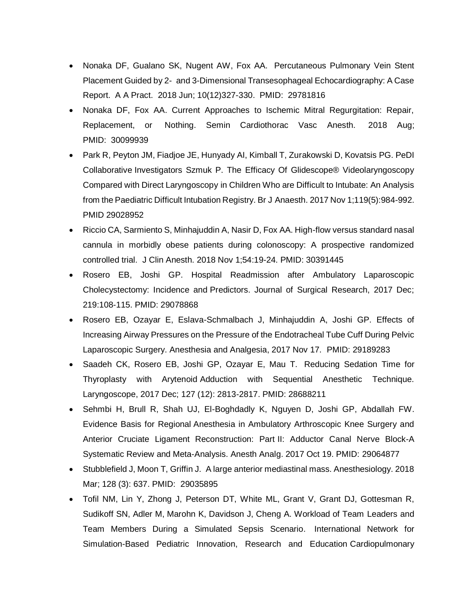- Nonaka DF, Gualano SK, Nugent AW, Fox AA. Percutaneous Pulmonary Vein Stent Placement Guided by 2- and 3-Dimensional Transesophageal Echocardiography: A Case Report. A A Pract. 2018 Jun; 10(12)327-330. PMID: 29781816
- Nonaka DF, Fox AA. Current Approaches to Ischemic Mitral Regurgitation: Repair, Replacement, or Nothing. Semin Cardiothorac Vasc Anesth. 2018 Aug; PMID: 30099939
- Park R, Peyton JM, Fiadjoe JE, Hunyady AI, Kimball T, Zurakowski D, Kovatsis PG. PeDI Collaborative Investigators Szmuk P. The Efficacy Of Glidescope® Videolaryngoscopy Compared with Direct Laryngoscopy in Children Who are Difficult to Intubate: An Analysis from the Paediatric Difficult Intubation Registry. Br J Anaesth. 2017 Nov 1;119(5):984-992. PMID 29028952
- Riccio CA, Sarmiento S, Minhajuddin A, Nasir D, Fox AA. High-flow versus standard nasal cannula in morbidly obese patients during colonoscopy: A prospective randomized controlled trial. J Clin Anesth. 2018 Nov 1;54:19-24. PMID: 30391445
- Rosero EB, Joshi GP. Hospital Readmission after Ambulatory Laparoscopic Cholecystectomy: Incidence and Predictors. Journal of Surgical Research, 2017 Dec; 219:108-115. PMID: 29078868
- Rosero EB, Ozayar E, Eslava-Schmalbach J, Minhajuddin A, Joshi GP. Effects of Increasing Airway Pressures on the Pressure of the Endotracheal Tube Cuff During Pelvic Laparoscopic Surgery. Anesthesia and Analgesia, 2017 Nov 17. PMID: 29189283
- Saadeh CK, Rosero EB, Joshi GP, Ozayar E, Mau T. Reducing Sedation Time for Thyroplasty with Arytenoid Adduction with Sequential Anesthetic Technique. Laryngoscope, 2017 Dec; 127 (12): 2813-2817. PMID: 28688211
- Sehmbi H, Brull R, Shah UJ, El-Boghdadly K, Nguyen D, Joshi GP, Abdallah FW. Evidence Basis for Regional Anesthesia in Ambulatory Arthroscopic Knee Surgery and Anterior Cruciate Ligament Reconstruction: Part II: Adductor Canal Nerve Block-A Systematic Review and Meta-Analysis. Anesth Analg. 2017 Oct 19. PMID: 29064877
- Stubblefield J, Moon T, Griffin J. A large anterior mediastinal mass. Anesthesiology. 2018 Mar; 128 (3): 637. PMID: 29035895
- Tofil NM, Lin Y, Zhong J, Peterson DT, White ML, Grant V, Grant DJ, Gottesman R, Sudikoff SN, Adler M, Marohn K, Davidson J, Cheng A. Workload of Team Leaders and Team Members During a Simulated Sepsis Scenario. International Network for Simulation-Based Pediatric Innovation, Research and Education Cardiopulmonary